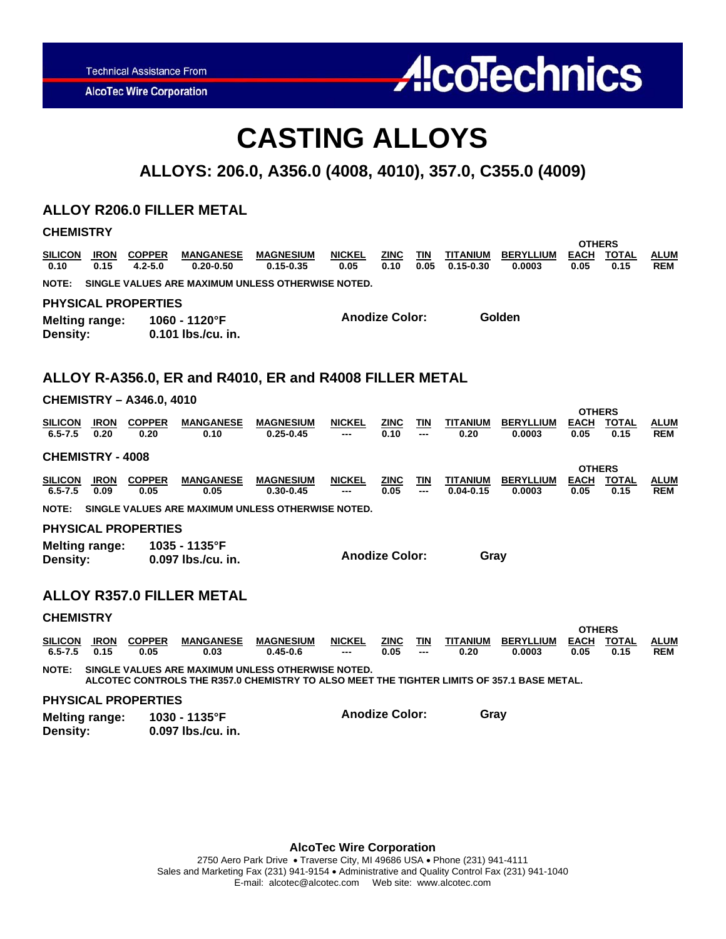**AlcoTec Wire Corporation** 

# **AlcoTechnics**

### **CASTING ALLOYS**

### **ALLOYS: 206.0, A356.0 (4008, 4010), 357.0, C355.0 (4009)**

### **ALLOY R206.0 FILLER METAL**

| <b>CHEMISTRY</b>                                                                                                                                                |                     |                              |                                                   |                                   |                       |                       |                   |                           |                            |                                      |                      |                           |
|-----------------------------------------------------------------------------------------------------------------------------------------------------------------|---------------------|------------------------------|---------------------------------------------------|-----------------------------------|-----------------------|-----------------------|-------------------|---------------------------|----------------------------|--------------------------------------|----------------------|---------------------------|
| <b>SILICON</b><br>0.10                                                                                                                                          | IRON<br>0.15        | <b>COPPER</b><br>$4.2 - 5.0$ | <b>MANGANESE</b><br>$0.20 - 0.50$                 | <b>MAGNESIUM</b><br>$0.15 - 0.35$ | <b>NICKEL</b><br>0.05 | <b>ZINC</b><br>0.10   | TIN<br>0.05       | TITANIUM<br>$0.15 - 0.30$ | <b>BERYLLIUM</b><br>0.0003 | OTHERS<br><b>EACH</b><br>0.05        | <b>TOTAL</b><br>0.15 | <b>ALUM</b><br><b>REM</b> |
| <b>NOTE:</b>                                                                                                                                                    |                     |                              | SINGLE VALUES ARE MAXIMUM UNLESS OTHERWISE NOTED. |                                   |                       |                       |                   |                           |                            |                                      |                      |                           |
| <b>PHYSICAL PROPERTIES</b>                                                                                                                                      |                     |                              |                                                   |                                   |                       |                       |                   |                           |                            |                                      |                      |                           |
| <b>Melting range:</b><br>Density:                                                                                                                               |                     |                              | 1060 - 1120°F<br>0.101 lbs./cu. in.               |                                   |                       | <b>Anodize Color:</b> |                   |                           | Golden                     |                                      |                      |                           |
| ALLOY R-A356.0, ER and R4010, ER and R4008 FILLER METAL                                                                                                         |                     |                              |                                                   |                                   |                       |                       |                   |                           |                            |                                      |                      |                           |
| <b>CHEMISTRY - A346.0, 4010</b><br><b>OTHERS</b>                                                                                                                |                     |                              |                                                   |                                   |                       |                       |                   |                           |                            |                                      |                      |                           |
| <b>SILICON</b><br>$6.5 - 7.5$                                                                                                                                   | <b>IRON</b><br>0.20 | <b>COPPER</b><br>0.20        | <b>MANGANESE</b><br>0.10                          | <b>MAGNESIUM</b><br>$0.25 - 0.45$ | <b>NICKEL</b>         | <b>ZINC</b><br>0.10   | <b>TIN</b>        | <b>TITANIUM</b><br>0.20   | <b>BERYLLIUM</b><br>0.0003 | <b>EACH</b><br>0.05                  | <b>TOTAL</b><br>0.15 | <b>ALUM</b><br><b>REM</b> |
| <b>CHEMISTRY - 4008</b>                                                                                                                                         |                     |                              |                                                   |                                   |                       |                       |                   |                           |                            |                                      |                      |                           |
| <b>SILICON</b><br>$6.5 - 7.5$                                                                                                                                   | <b>IRON</b><br>0.09 | <b>COPPER</b><br>0.05        | <b>MANGANESE</b><br>0.05                          | <b>MAGNESIUM</b><br>$0.30 - 0.45$ | <b>NICKEL</b>         | <b>ZINC</b><br>0.05   | <b>TIN</b><br>--- | TITANIUM<br>$0.04 - 0.15$ | <b>BERYLLIUM</b><br>0.0003 | <b>OTHERS</b><br><b>EACH</b><br>0.05 | <b>TOTAL</b><br>0.15 | <b>ALUM</b><br><b>REM</b> |
| SINGLE VALUES ARE MAXIMUM UNLESS OTHERWISE NOTED.<br><b>NOTE:</b>                                                                                               |                     |                              |                                                   |                                   |                       |                       |                   |                           |                            |                                      |                      |                           |
| <b>PHYSICAL PROPERTIES</b>                                                                                                                                      |                     |                              |                                                   |                                   |                       |                       |                   |                           |                            |                                      |                      |                           |
| <b>Melting range:</b><br>Density:                                                                                                                               |                     |                              | 1035 - 1135°F<br>0.097 lbs./cu. in.               |                                   |                       | <b>Anodize Color:</b> |                   | Gray                      |                            |                                      |                      |                           |
|                                                                                                                                                                 |                     |                              | <b>ALLOY R357.0 FILLER METAL</b>                  |                                   |                       |                       |                   |                           |                            |                                      |                      |                           |
| <b>CHEMISTRY</b>                                                                                                                                                |                     |                              |                                                   |                                   |                       |                       |                   |                           |                            |                                      |                      |                           |
| <b>SILICON</b><br>$6.5 - 7.5$                                                                                                                                   | <b>IRON</b><br>0.15 | <b>COPPER</b><br>0.05        | <b>MANGANESE</b><br>0.03                          | <b>MAGNESIUM</b><br>$0.45 - 0.6$  | NICKEL                | <u>ZINC</u><br>0.05   | <u>TIN</u>        | <b>TITANIUM</b><br>0.20   | <b>BERYLLIUM</b><br>0.0003 | <b>OTHERS</b><br><b>EACH</b><br>0.05 | <b>TOTAL</b><br>0.15 | <b>ALUM</b><br><b>REM</b> |
| <b>NOTE:</b><br>SINGLE VALUES ARE MAXIMUM UNLESS OTHERWISE NOTED.<br>ALCOTEC CONTROLS THE R357.0 CHEMISTRY TO ALSO MEET THE TIGHTER LIMITS OF 357.1 BASE METAL. |                     |                              |                                                   |                                   |                       |                       |                   |                           |                            |                                      |                      |                           |
|                                                                                                                                                                 |                     | <b>PHYSICAL PROPERTIES</b>   |                                                   |                                   |                       |                       |                   |                           |                            |                                      |                      |                           |

**Melting range: 1030 - 1135°F**  0.097 lbs./cu. in. **Anodize Color: Gray** 

**AlcoTec Wire Corporation**